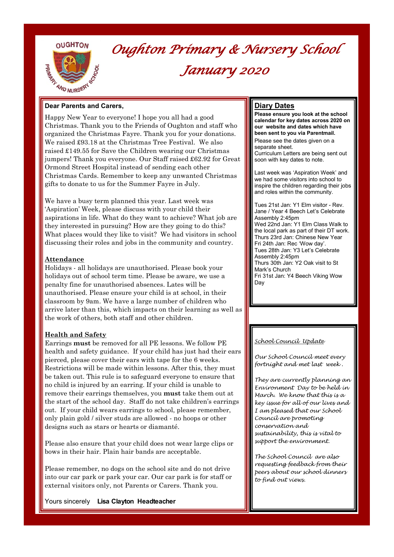



# *Oughton Primary & Nursery School January 2020*

### **Dear Parents and Carers,**

Happy New Year to everyone! I hope you all had a good Christmas. Thank you to the Friends of Oughton and staff who organized the Christmas Fayre. Thank you for your donations. We raised £93.18 at the Christmas Tree Festival. We also raised £149.55 for Save the Children wearing our Christmas jumpers! Thank you everyone. Our Staff raised £62.92 for Great Ormond Street Hospital instead of sending each other Christmas Cards. Remember to keep any unwanted Christmas gifts to donate to us for the Summer Fayre in July.

We have a busy term planned this year. Last week was 'Aspiration' Week, please discuss with your child their aspirations in life. What do they want to achieve? What job are they interested in pursuing? How are they going to do this? What places would they like to visit? We had visitors in school discussing their roles and jobs in the community and country.

#### **Attendance**

Holidays - all holidays are unauthorised. Please book your holidays out of school term time. Please be aware, we use a penalty fine for unauthorised absences. Lates will be unauthorised. Please ensure your child is at school, in their classroom by 9am. We have a large number of children who arrive later than this, which impacts on their learning as well as the work of others, both staff and other children.

## **Health and Safety**

Earrings **must** be removed for all PE lessons. We follow PE health and safety guidance. If your child has just had their ears pierced, please cover their ears with tape for the 6 weeks. Restrictions will be made within lessons. After this, they must be taken out. This rule is to safeguard everyone to ensure that no child is injured by an earring. If your child is unable to remove their earrings themselves, you **must** take them out at the start of the school day. Staff do not take children's earrings out. If your child wears earrings to school, please remember, only plain gold / silver studs are allowed - no hoops or other designs such as stars or hearts or diamanté.

Please also ensure that your child does not wear large clips or bows in their hair. Plain hair bands are acceptable.

Please remember, no dogs on the school site and do not drive into our car park or park your car. Our car park is for staff or external visitors only, not Parents or Carers. Thank you.

Yours sincerely **Lisa Clayton Headteacher**

## **Diary Dates**

**Please ensure you look at the school calendar for key dates across 2020 on our website and dates which have been sent to you via Parentmail.**  Please see the dates given on a separate sheet. Curriculum Letters are being sent out soon with key dates to note.

Last week was 'Aspiration Week' and we had some visitors into school to inspire the children regarding their jobs and roles within the community.

Tues 21st Jan: Y1 Elm visitor - Rev. Jane / Year 4 Beech Let's Celebrate Assembly 2:45pm Wed 22nd Jan: Y1 Elm Class Walk to the local park as part of their DT work. Thurs 23rd Jan: Chinese New Year Fri 24th Jan: Rec 'Wow day'. Tues 28th Jan: Y3 Let's Celebrate Assembly 2:45pm Thurs 30th Jan: Y2 Oak visit to St Mark's Church Fri 31st Jan: Y4 Beech Viking Wow Day

#### *School Council Update*

*Our School Council meet every fortnight and met last week .* 

*They are currently planning an Environment Day to be held in March. We know that this is a key issue for all of our lives and I am pleased that our School Council are promoting conservation and sustainability, this is vital to support the environment.* 

*The School Council are also requesting feedback from their peers about our school dinners to find out views.*